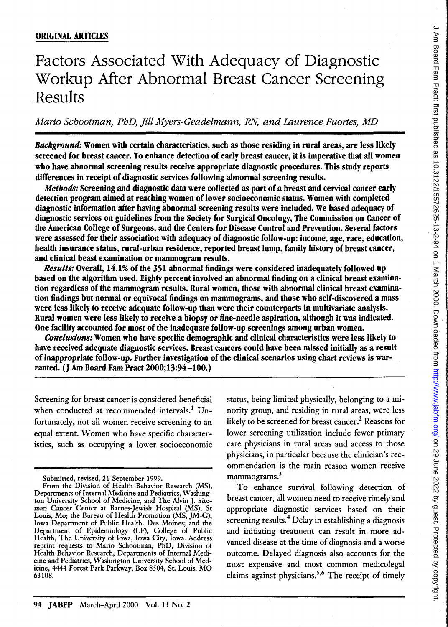# Factors Associated With Adequacy of Diagnostic Workup After Abnormal Breast Cancer Screening Results

*Mario Schootman, PhD,* Jill *Myers-Geadelmann, RN, and Laurence Fuortes, MD* 

Background: Women with certain characteristics, such as those residing in rural areas, are less likely screened for breast cancer. To enhance detection of early breast cancer, it is imperative that all women who have abnormal screening results receive appropriate diagnostic procedures. This study reports differences in receipt of diagnostic services following abnormal screening results.

*Methods:* Screening and diagnostic data were collected as part of a breast and cervical cancer early detection program aimed at reaching women of lower socioeconomic status. Women with completed diagnostic information after having abnormal screening results were included. We based adequacy of diagnostic services on guidelines from the Society for Surgical Oncology, The Commission on Cancer of the American College of Surgeons, and the Centers for Disease Control and Prevention. Several factors were assessed for their association with adequacy of diagnostic follow-up: income, age, race, education, health insurance status, rural-urban residence, reported breast lump, family history of breast cancer, and clinical beast examination or mammogram results.

*Results:* Overall, 14.1% of the 351 abnormal findings were considered inadequately followed up based on the algorithm used. Eighty percent involved an abnormal finding on a clinical breast examination regardless of the mammogram results. Rural women, those with abnormal clinical breast examination findings but normal or equivocal findings on mammograms, and those who self-discovered a mass were less likely to receive adequate follow-up than were their counterparts in multivariate analysis. Rural women were less likely to receive a biopsy or fine-needle aspiration, although it was indicated. One facility accounted for most of the inadequate follow-up screenings among urban women.

*Conclusions:* Women who have specific demographic and clinical characteristics were less likely to have received adequate diagnostic services. Breast cancers could have been missed initially as a result of inappropriate follow-up. Further investigation of the clinical scenarios using chart reviews is warranted. (J Am Board Fam Pract 2000;13:94-100.)

Screening for breast cancer is considered beneficial when conducted at recommended intervals.<sup>1</sup> Unfortunately, not all women receive screening to an equal extent. Women who have specific characteristics, such as occupying a lower socioeconomic

status, being limited physically, belonging to a minority group, and residing in rural areas, were less likely to be screened for breast cancer.<sup>2</sup> Reasons for lower screening utilization include fewer primary care physicians in rural areas and access to those physicians, in particular because the clinician's recommendation is the main reason women receive mammograms.<sup>3</sup>

To enhance survival following detection of breast cancer, all women need to receive timely and appropriate diagnostic services based on their screening results.<sup>4</sup> Delay in establishing a diagnosis and initiating treatment can result in more advanced disease at the time of diagnosis and a worse outcome. Delayed diagnosis also accounts for the most expensive and most common medicolegal claims against physicians.<sup>5,6</sup> The receipt of timely

Submitted, revised, 21 September 1999.

From the Division of Health Behavior Research (MS), Departments of Internal Medicine and Pediatrics, Washington University School of Medicine, and The Alvin J. Siteman Cancer Center at Barnes-Jewish Hospital (MS), St Louis, Mo; the Bureau of Health Promotion (MS, JM-G), Iowa Department of Public Health. Des Moines; and the Department of Epidemiology (LF), College of Public Health, The University of Iowa, Iowa City, Iowa. Address reprint requests to Mario Schootman, PhD, Division of Health Behavior Research, Departments of Internal Medicine and Pediatrics, Washington University School of Medicine, 4444 Forest Park Parkway, Box 8504, St. Louis, MO 63108.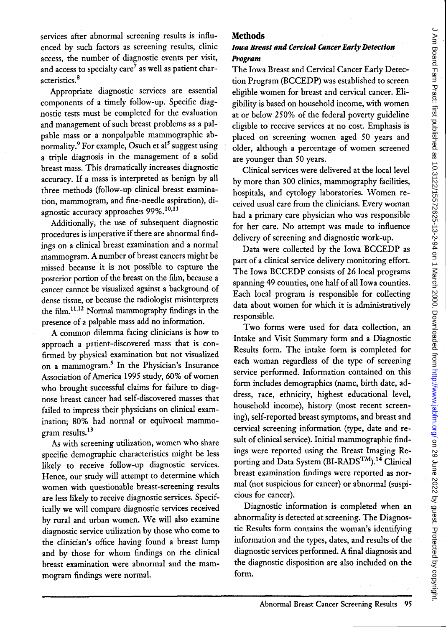$\overline{a}$ 

services after abnormal screening results is influenced by such factors as screening results, clinic access, the number of diagnostic events per visit, and access to specialty care<sup>7</sup> as well as patient characteristics. <sup>8</sup>

Appropriate diagnostic services are essential components of a timely follow-up. Specific diagnostic tests must be completed for the evaluation and management of such breast problems as a palpable mass or a nonpalpable mammographic abnormality.<sup>9</sup> For example, Osuch et al<sup>5</sup> suggest using a triple diagnosis in the management of a solid breast mass. This dramatically increases diagnostic accuracy. If a mass is interpreted as benign by all three methods (follow-up clinical breast examination, mammogram, and fine-needle aspiration), diagnostic accuracy approaches 99%.10,11

Additionally, the use of subsequent diagnostic procedures is imperative if there are abnormal findings on a clinical breast examination and a normal mammogram. A number of breast cancers might be missed because it is not possible to capture the posterior portion of the breast on the film, because a cancer cannot be visualized against a background of dense tissue, or because the radiologist misinterprets the film. $11,12$  Normal mammography findings in the presence of a palpable mass add no information.

A common dilemma facing clinicians is how to approach a patient-discovered mass that is confirmed by physical examination but not visualized on a mammogram.<sup>5</sup> In the Physician's Insurance Association of America 1995 study, 60% of women who brought successful claims for failure to diagnose breast cancer had self-discovered masses that failed to impress their physicians on clinical examination; 80% had normal or equivocal mammogram results. $^{13}$ 

As with screening utilization, women who share specific demographic characteristics might be less likely to receive follow-up diagnostic services. Hence, our study will attempt to determine which women with questionable breast-screening results are less likely to receive diagnostic services. Specifically we will compare diagnostic services received by rural and urban women. We will also examine diagnostic service utilization by those who come to the clinician's office having found a breast lump and by those for whom findings on the clinical breast examination were abnormal and the mammogram findings were normal.

#### **Methods**

### *Iowa Breast and Cervical Cancer Early Detection Program*

The Iowa Breast and Cervical Cancer Early Detection Program (BCCEDP) was established to screen eligible women for breast and cervical cancer. Eligibility is based on household income, with women at or below 250% of the federal poverty guideline eligible to receive services at no cost. Emphasis is placed on screening women aged 50 years and older, although a percentage of women screened are younger than 50 years.

Clinical services were delivered at the local level by more than 300 clinics, mammography facilities, hospitals, and cytology laboratories. Women received usual care from the clinicians. Every woman had a primary care physician who was responsible for her care. No attempt was made to influence delivery of screening and diagnostic work-up.

Data were collected by the Iowa BCCEDP as part of a clinical service delivery monitoring effort. The Iowa BCCEDP consists of 26 local programs spanning 49 counties, one half of all Iowa counties. Each local program is responsible for collecting data about women for which it is administratively responsible.

Two forms were used for data collection, an Intake and Visit Summary form and a Diagnostic Results form. The intake form is completed for each woman regardless of the type of screening service performed. Information contained on this form includes demographics (name, birth date, address, race, ethnicity, highest educational level, household income), history (most recent screening), self-reported breast symptoms, and breast and cervical screening information (type, date and result of clinical service). Initial mammographic findings were reported using the Breast Imaging Reporting and Data System (BI-RADS<sup>TM</sup>).<sup>14</sup> Clinical breast examination findings were reported as normal (not suspicious for cancer) or abnormal (suspicious for cancer).

Diagnostic information is completed when an abnormality is detected at screening. The Diagnostic Results form contains the woman's identifying information and the types, dates, and results of the diagnostic services performed. A final diagnosis and the diagnostic disposition are also included on the form.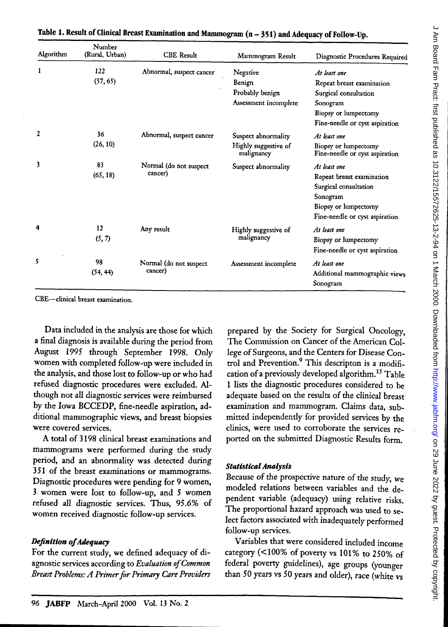| Algorithm    | Number<br>(Rural, Urban) | <b>CBE</b> Result                 | Mammogram Result                                               | Diagnostic Procedures Required                                                                                                           |
|--------------|--------------------------|-----------------------------------|----------------------------------------------------------------|------------------------------------------------------------------------------------------------------------------------------------------|
| 1            | 122<br>(57, 65)          | Abnormal, suspect cancer          | Negative<br>Benign<br>Probably benign<br>Assessment incomplete | At least one<br>Repeat breast examination<br>Surgical consultation                                                                       |
|              |                          |                                   |                                                                | Sonogram<br>Biopsy or lumpectomy<br>Fine-needle or cyst aspiration                                                                       |
| $\mathbf{2}$ | 36<br>(26, 10)           | Abnormal, suspect cancer          | Suspect abnormality<br>Highly suggestive of<br>malignancy      | At least one<br>Biopsy or lumpectomy<br>Fine-needle or cyst aspiration                                                                   |
| 3            | 83<br>(65, 18)           | Normal (do not suspect<br>cancer) | Suspect abnormality                                            | At least one<br>Repeat breast examination<br>Surgical consultation<br>Sonogram<br>Biopsy or lumpectomy<br>Fine-needle or cyst aspiration |
| 4            | 12<br>(5, 7)             | Any result                        | Highly suggestive of<br>malignancy                             | At least one<br>Biopsy or lumpectomy<br>Fine-needle or cyst aspiration                                                                   |
| 5            | 98<br>(54, 44)           | Normal (do not suspect<br>cancer) | Assessment incomplete                                          | At least one<br>Additional mammographic views<br>Sonogram                                                                                |

| Fable 1. Result of Clinical Breast Examination and Mammogram $(n - 351)$ and Adequacy of Follow-Up |  |  |
|----------------------------------------------------------------------------------------------------|--|--|
|----------------------------------------------------------------------------------------------------|--|--|

CBE-clinical breast examination.

Data included in the analysis are those for which a final diagnosis is available during the period from August 1995 through September 1998. Only women with completed foHow-up were included in the analysis, and those lost to follow-up or who had refused diagnostic procedures were excluded. Although not all diagnostic services were reimbursed *by* the Iowa BCCEDP, fine-needle aspiration, additional mammographic views, and breast biopsies were covered services.

A total of 3198 clinical breast examinations and mammograms were performed during the study period, and an abnormality was detected during 351 of the breast examinations or mammograms. Diagnostic procedures were pending for 9 women, 3 women were lost to follow-up, and 5 women refused all diagnostic services. Thus, 95.6% of women received diagnostic follow-up services.

#### *Definition 0/ Adequacy*

For the current study, we defined adequacy of diagnostic services according to *Evaluation of Common Breast Problems: A Primer for Primary Core Providers* 

prepared *by* the Society for Surgical Oncology, The Commission on Cancer of the American College of Surgeons, and the Centers for Disease Control and Prevention.<sup>9</sup> This descripton is a modification of a previously developed algorithm.<sup>15</sup> Table 1 lists the diagnostic procedures considered to be adequate based on the results of the clinical breast examination and mammogram. Claims data, submitted independendy for provided services by the clinics, were used to corroborate the services reported on the submitted Diagnostic Results form.

#### *Statistical Analysis*

Because of the prospective nature of the study, we modeled relations between variables and the dependent variable (adequacy) using relative risks. The proportional hazard approach was used to select factors associated with inadequately performed follow-up services.

Variables that were considered included income category ( $<$ 100% of poverty vs 101% to 250% of federal poverty guidelines), age groups (younger than 50 years vs 50 years and older), race (white vs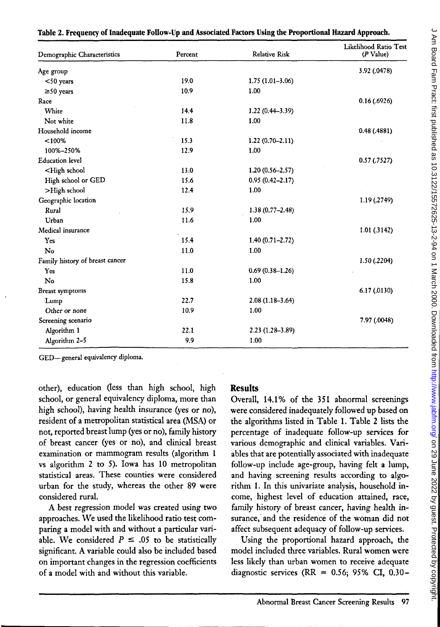| Table 2. Frequency of Inadequate Follow-Up and Associated Factors Using the Proportional Hazard Approach. |  |
|-----------------------------------------------------------------------------------------------------------|--|
|-----------------------------------------------------------------------------------------------------------|--|

| Demographic Characteristics                                                                 | Percent | <b>Relative Risk</b> | Likelihood Ratio Test<br>(P Value) |
|---------------------------------------------------------------------------------------------|---------|----------------------|------------------------------------|
| Age group                                                                                   |         |                      | 3.92 (.0478)                       |
| $<$ 50 years                                                                                | 19.0    | $1.75(1.01-3.06)$    |                                    |
| $\geq 50$ years                                                                             | 10.9    | 1.00                 |                                    |
| Race                                                                                        |         |                      | 0.16(0.6926)                       |
| White                                                                                       | 14.4    | $1.22(0.44 - 3.39)$  |                                    |
| Not white                                                                                   | 11.8    | 1.00                 |                                    |
| Household income                                                                            |         |                      | 0.48(0.4881)                       |
| < 100%                                                                                      | 15.3    | $1.22(0.70-2.11)$    |                                    |
| 100%-250%                                                                                   | 12.9    | 1.00                 |                                    |
| <b>Education</b> level                                                                      |         |                      | 0.57(0.7527)                       |
| <high school<="" td=""><td>13.0</td><td><math>1.20(0.56 - 2.57)</math></td><td></td></high> | 13.0    | $1.20(0.56 - 2.57)$  |                                    |
| High school or GED                                                                          | 15.6    | $0.95(0.42 - 2.17)$  |                                    |
| >High school                                                                                | 12.4    | 1.00                 |                                    |
| Geographic location                                                                         |         |                      | 1.19 (.2749)                       |
| Rural                                                                                       | 15.9    | $1.38(0.77 - 2.48)$  |                                    |
| Urban                                                                                       | 11.6    | 1.00                 |                                    |
| Medical insurance                                                                           |         |                      | 1.01(0.3142)                       |
| Yes                                                                                         | 15.4    | $1.40(0.71 - 2.72)$  |                                    |
| No                                                                                          | 11.0    | 1.00                 |                                    |
| Family history of breast cancer                                                             |         |                      | 1.50 (.2204)                       |
| Yes                                                                                         | 11.0    | $0.69(0.38 - 1.26)$  |                                    |
| No                                                                                          | 15.8    | 1.00                 |                                    |
| <b>Breast symptoms</b>                                                                      |         |                      | 6.17 (.0130)                       |
| Lump                                                                                        | 22.7    | $2.08(1.18-3.64)$    |                                    |
| Other or none                                                                               | 10.9    | 1.00                 |                                    |
| Screening scenario                                                                          |         |                      | 7.97 (.0048)                       |
| Algorithm 1                                                                                 | 22.1    | $2.23(1.28 - 3.89)$  |                                    |
| Algorithm 2-5                                                                               | 9.9     | 1.00                 |                                    |

GED-general equivalency diploma.

other), education (less than high school, high school, or general equivalency diploma, more than high school), having health insurance (yes or no), resident of a metropolitan statistical area (MSA) or not, reported breast lump (yes or no), family history of breast cancer (yes or no), and clinical breast examination or mammogram results (algorithm 1 vs algorithm 2 to 5). Iowa has 10 metropolitan statistical areas. These counties were considered urban for the study, whereas the other 89 were considered rural.

A best regression model was created using two approaches. We used the likelihood ratio test comparing a model with and without a particular variable. We considered  $P \leq .05$  to be statistically significant. A variable could also be included based on important changes in the regression coefficients of a model with and without this variable.

## Results

Overall, 14.1% of the 351 abnormal screenings were considered inadequately followed up based on the algorithms listed in Table 1. Table 2 lists the percentage of inadequate follow-up services for various demographic and clinical variables. Variables that are potentially associated with inadequate follow-up include age-group, having felt a lump, and having screening results according to algorithm 1. In this univariate analysis, household income, highest level of education attained, race, family history of breast cancer, having health insurance, and the residence of the woman did not affect subsequent adequacy of follow-up services.

Using the proportional hazard approach, the model included three variables. Rural women were less likely than urban women to receive adequate diagnostic services (RR = 0.56; 95% CI, 0.30-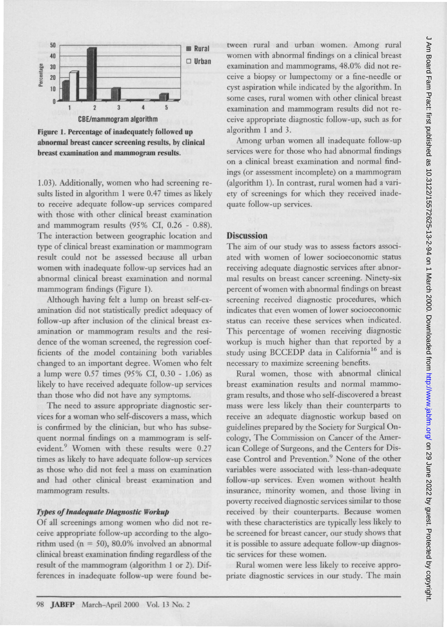

Figure 1. Percentage of inadequately followed up abnormal breast cancer screening results, by clinical breast examination and mammogram results.

1.03). Additionally, women who had screening results listed in algorithm 1 were 0.47 times as likely to receive adequate follow-up services compared with those with other clinical breast examination and mammogram results  $(95\% \text{ CI}, 0.26 - 0.88).$ The interaction between geographic location and type of clinical breast examination or mammogram result could not be assessed because all urban women with inadequate follow-up services had an abnormal clinical breast examination and normal mammogram findings (Figure 1).

Although having felt a lump on breast self-examination did not statistically predict adequacy of follow-up after inclusion of the clinical breast examination or mammogram results and the residence of the woman screened, the regression coefficients of the model containing both variables changed to an important degree. Women who felt a lump were 0.57 times (95% CI, 0.30 - 1.06) as likely to have received adequate follow-up services than those who did not have any symptoms.

The need to assure appropriate diagnostic services for a woman who self-discovers a mass, which is confirmed by the clinician, but who has subsequent normal findings on a mammogram is selfevident.<sup>9</sup> Women with these results were 0.27 times as likely to have adequate follow-up services as those who did not feel a mass on examination and had other clinical breast examination and mammogram results.

#### *Types of Inadequate Diagnostic Workup*

Of all screenings among women who did not receive appropriate follow-up according to the algorithm used ( $n = 50$ ), 80.0% involved an abnormal clinical breast examination finding regardless of the result of the mammogram (algorithm 1 or 2). Differences in inadequate follow-up were found between rural and urban women. Among rural women with abnormal findings on a clinical breast examination and mammograms, 48.0% did not receive a biopsy or lumpectomy or a fine-needle or cyst aspiration while indicated by the algorithm. In some cases, rural women with other clinical breast examination and mammogram results did not receive appropriate diagnostic follow-up, such as for algorithm 1 and 3.

Among urban women all inadequate follow-up services were for those who had abnormal findings on a clinical breast examination and normal findings (or assessment incomplete) on a mammogram (algorithm 1). In contrast, rural women had a variety of screenings for which they received inadequate follow-up services.

#### **Discussion**

The aim of our study was to assess factors associated with women of lower socioeconomic status receiving adequate diagnostic services after abnormal results on breast cancer screening. Ninety-six percent of women with abnormal findings on breast screening received diagnostic procedures, which indicates that even women of lower socioeconomic status can receive these services when indicated. This percentage of women receiving diagnostic workup is much higher than that reported by a study using BCCEDP data in California<sup>16</sup> and is necessary to maximize screening benefits.

Rural women, those with abnormal clinical breast examination results and normal mammogram results, and those who self-discovered a breast mass were less likely than their counterparts to receive an adequate diagnostic workup based on guidelines prepared by the Society for Surgical Oncology, The Commission on Cancer of the American College of Surgeons, and the Centers for Disease Control and Prevention.<sup>9</sup> None of the other variables were associated with less-than-adequate follow-up services. Even women without health insurance, minority women, and those living in poverty received diagnostic services similar to those received by their counterparts. Because women with these characteristics are typically less likely to be screened for breast cancer, our study shows that it is possible to assure adequate follow-up diagnostic services for these women.

Rural women were less likely to receive appropriate diagnostic services in our study. The main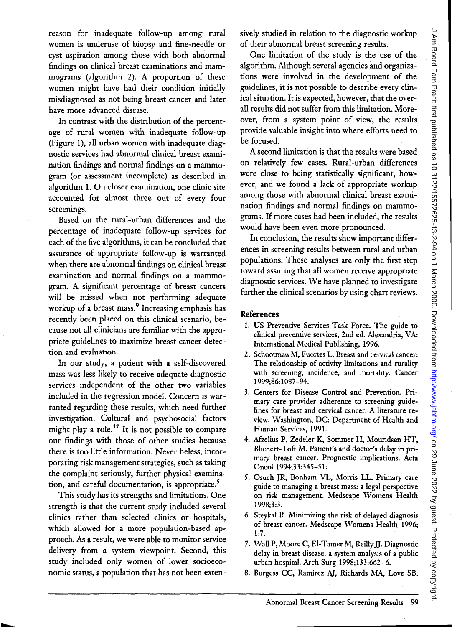reason for inadequate follow-up among rural women is underuse of biopsy and fine-needle or cyst aspiration among those with both abnormal findings on clinical breast examinations and mammograms (algorithm 2). A proportion of these women might have had their condition initially misdiagnosed as not being breast cancer and later have more advanced disease.

In contrast with the distribution of the percentage of rural women with inadequate follow-up (Figure 1), all urban women with inadequate diagnostic services had abnormal clinical breast examination findings and normal findings on a mammogram (or assessment incomplete) as described in algorithm 1. On closer examination, one clinic site accounted for almost three out of every four screenings.

Based on the rural-urban differences and the percentage of inadequate follow-up services for each of the five algorithms, it can be concluded that assurance of appropriate follow-up is warranted when there are abnormal findings on clinical breast examination and normal findings on a mammogram. A significant percentage of breast cancers will be missed when not performing adequate workup of a breast mass.<sup>9</sup> Increasing emphasis has recently been placed on this clinical scenario, because not all clinicians are familiar with the appropriate guidelines to maximize breast cancer detection and evaluation.

In our study, a patient with a self-discovered mass was less likely to receive adequate diagnostic services independent of the other two variables included in the regression model. Concern is warranted regarding these results, which need further investigation. Cultural and psychosocial factors might play a role.<sup>17</sup> It is not possible to compare our findings with those of other studies because there is too little information. Nevertheless, incorporating risk management strategies, such as taking the complaint seriously, further physical examination, and careful documentation, is appropriate.<sup>5</sup>

This study has its strengths and limitations. One strength is that the current study included several clinics rather than selected clinics or hospitals, which allowed for a more population-based approach. As a result, we were able to monitor service delivery from a system viewpoint. Second, this study included only women of lower socioeconomic status, a population that has not been extensively studied in relation to the diagnostic workup of their abnormal breast screening results.

One limitation of the study is the use of the algorithm. Although several agencies and organizations were involved in the development of the guidelines, it is not possible to describe every clinical situation. It is expected, however, that the overall results did not suffer from this limitation. Moreover, from a system point of view, the results provide valuable insight into where efforts need to be focused.

A second limitation is that the results were based on relatively few cases. Rural-urban differences were close to being statistically significant, however, and we found a lack of appropriate workup among those with abnormal clinical breast examination findings and normal findings on mammograms. If more cases had been included, the results would have been even more pronounced.

In conclusion, the results show important differences in screening results between rural and urban populations. These analyses are only the first step toward assuring that all women receive appropriate diagnostic services. We have planned to investigate further the clinical scenarios by using chart reviews.

#### **References**

- 1. US Preventive Services Task Force. The guide to clinical preventive services, 2nd ed. Alexandria, VA: International Medical Publishing, 1996.
- 2. Schootman M, Fuortes L. Breast and cervical cancer: The relationship of activity limitations and rurality with screening, incidence, and mortality. Cancer 1999;86:1087-94.
- 3. Centers for Disease Control and Prevention. Primary care provider adherence to screening guidelines for breast and cervical cancer. A literature review. Washington, DC: Department of Health and Human Services, 1991.
- 4. Afzelius P, Zedeler K, Sommer H, Mouridsen HT, Blichert-Toft M. Patient's and doctor's delay in primary breast cancer. Prognostic implications. Acta Oncol 1994;33:345-5L
- 5. Osuch JR, Bonham VL, Morris LL. Primary care guide to managing a breast mass: a legal perspective on risk management. Medscape \Vomens Health 1998;3:3.
- 6. Steykal R. Minimizing the risk of delayed diagnosis of breast cancer. Medscape Womens Health 1996; 1:7.
- 7. Wall P, Moore C, EI-Tamer M, Reilly JJ. Diagnostic delay in breast disease: a system analysis of a public urban hospital. Arch Surg 1998;133:662-6.
- 8. Burgess CC, Ramirez A]. Richards MA, Love SB.